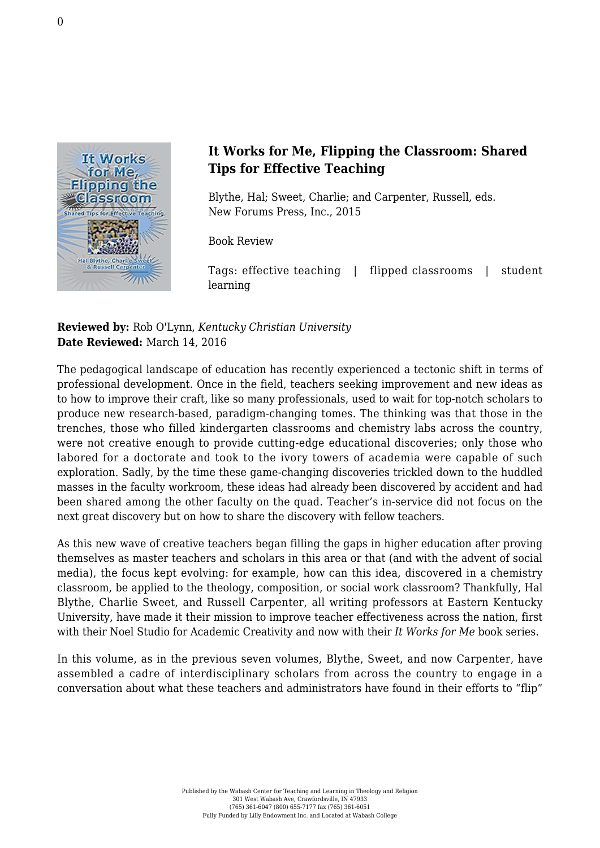

## **It Works for Me, Flipping the Classroom: Shared Tips for Effective Teaching**

Blythe, Hal; Sweet, Charlie; and Carpenter, Russell, eds. [New Forums Press, Inc., 2015](http://newforums.com/our-titles/better-teaching-learning/classroom-techniques/it-works-for-me-flipping-the-classroom/)

Book Review

Tags: effective teaching | flipped classrooms | student learning

## **Reviewed by:** Rob O'Lynn, *Kentucky Christian University* **Date Reviewed:** March 14, 2016

The pedagogical landscape of education has recently experienced a tectonic shift in terms of professional development. Once in the field, teachers seeking improvement and new ideas as to how to improve their craft, like so many professionals, used to wait for top-notch scholars to produce new research-based, paradigm-changing tomes. The thinking was that those in the trenches, those who filled kindergarten classrooms and chemistry labs across the country, were not creative enough to provide cutting-edge educational discoveries; only those who labored for a doctorate and took to the ivory towers of academia were capable of such exploration. Sadly, by the time these game-changing discoveries trickled down to the huddled masses in the faculty workroom, these ideas had already been discovered by accident and had been shared among the other faculty on the quad. Teacher's in-service did not focus on the next great discovery but on how to share the discovery with fellow teachers.

As this new wave of creative teachers began filling the gaps in higher education after proving themselves as master teachers and scholars in this area or that (and with the advent of social media), the focus kept evolving: for example, how can this idea, discovered in a chemistry classroom, be applied to the theology, composition, or social work classroom? Thankfully, Hal Blythe, Charlie Sweet, and Russell Carpenter, all writing professors at Eastern Kentucky University, have made it their mission to improve teacher effectiveness across the nation, first with their Noel Studio for Academic Creativity and now with their *It Works for Me* book series.

In this volume, as in the previous seven volumes, Blythe, Sweet, and now Carpenter, have assembled a cadre of interdisciplinary scholars from across the country to engage in a conversation about what these teachers and administrators have found in their efforts to "flip"